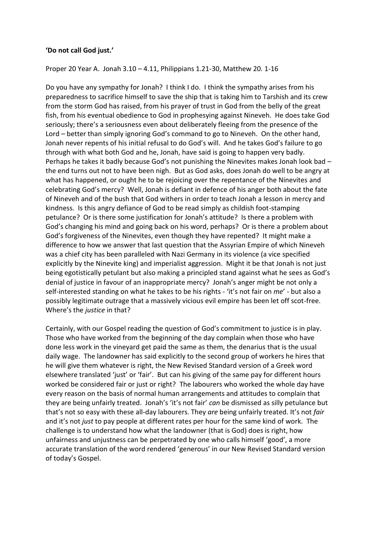## **'Do not call God just.'**

## Proper 20 Year A. Jonah 3.10 – 4.11, Philippians 1.21-30, Matthew 20. 1-16

Do you have any sympathy for Jonah? I think I do. I think the sympathy arises from his preparedness to sacrifice himself to save the ship that is taking him to Tarshish and its crew from the storm God has raised, from his prayer of trust in God from the belly of the great fish, from his eventual obedience to God in prophesying against Nineveh. He does take God seriously; there's a seriousness even about deliberately fleeing from the presence of the Lord – better than simply ignoring God's command to go to Nineveh. On the other hand, Jonah never repents of his initial refusal to do God's will. And he takes God's failure to go through with what both God and he, Jonah, have said is going to happen very badly. Perhaps he takes it badly because God's not punishing the Ninevites makes Jonah look bad – the end turns out not to have been nigh. But as God asks, does Jonah do well to be angry at what has happened, or ought he to be rejoicing over the repentance of the Ninevites and celebrating God's mercy? Well, Jonah is defiant in defence of his anger both about the fate of Nineveh and of the bush that God withers in order to teach Jonah a lesson in mercy and kindness. Is this angry defiance of God to be read simply as childish foot-stamping petulance? Or is there some justification for Jonah's attitude? Is there a problem with God's changing his mind and going back on his word, perhaps? Or is there a problem about God's forgiveness of the Ninevites, even though they have repented? It might make a difference to how we answer that last question that the Assyrian Empire of which Nineveh was a chief city has been paralleled with Nazi Germany in its violence (a vice specified explicitly by the Ninevite king) and imperialist aggression. Might it be that Jonah is not just being egotistically petulant but also making a principled stand against what he sees as God's denial of justice in favour of an inappropriate mercy? Jonah's anger might be not only a self-interested standing on what he takes to be his rights - 'it's not fair on *me*' - but also a possibly legitimate outrage that a massively vicious evil empire has been let off scot-free. Where's the *justice* in that?

Certainly, with our Gospel reading the question of God's commitment to justice is in play. Those who have worked from the beginning of the day complain when those who have done less work in the vineyard get paid the same as them, the denarius that is the usual daily wage. The landowner has said explicitly to the second group of workers he hires that he will give them whatever is right, the New Revised Standard version of a Greek word elsewhere translated 'just' or 'fair'. But can his giving of the same pay for different hours worked be considered fair or just or right? The labourers who worked the whole day have every reason on the basis of normal human arrangements and attitudes to complain that they are being unfairly treated. Jonah's 'it's not fair' *can* be dismissed as silly petulance but that's not so easy with these all-day labourers. They *are* being unfairly treated. It's not *fair* and it's not *just* to pay people at different rates per hour for the same kind of work. The challenge is to understand how what the landowner (that is God) does is right, how unfairness and unjustness can be perpetrated by one who calls himself 'good', a more accurate translation of the word rendered 'generous' in our New Revised Standard version of today's Gospel.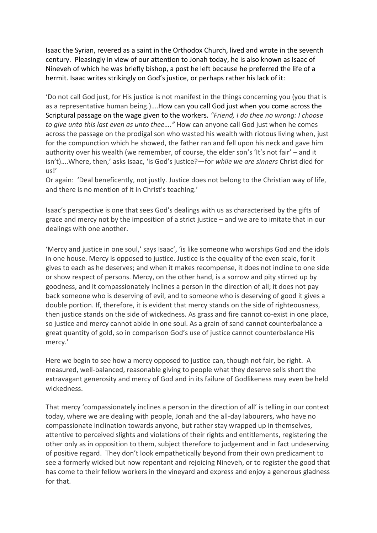Isaac the Syrian, revered as a saint in the Orthodox Church, lived and wrote in the seventh century. Pleasingly in view of our attention to Jonah today, he is also known as Isaac of Nineveh of which he was briefly bishop, a post he left because he preferred the life of a hermit. Isaac writes strikingly on God's justice, or perhaps rather his lack of it:

'Do not call God just, for His justice is not manifest in the things concerning you (you that is as a representative human being.)….How can you call God just when you come across the Scriptural passage on the wage given to the workers. *"Friend, I do thee no wrong: I choose to give unto this last even as unto thee…."* How can anyone call God just when he comes across the passage on the prodigal son who wasted his wealth with riotous living when, just for the compunction which he showed, the father ran and fell upon his neck and gave him authority over his wealth (we remember, of course, the elder son's 'It's not fair' – and it isn't)….Where, then,' asks Isaac, 'is God's justice?—for *while we are sinners* Christ died for us!'

Or again: 'Deal beneficently, not justly. Justice does not belong to the Christian way of life, and there is no mention of it in Christ's teaching.'

Isaac's perspective is one that sees God's dealings with us as characterised by the gifts of grace and mercy not by the imposition of a strict justice – and we are to imitate that in our dealings with one another.

'Mercy and justice in one soul,' says Isaac', 'is like someone who worships God and the idols in one house. Mercy is opposed to justice. Justice is the equality of the even scale, for it gives to each as he deserves; and when it makes recompense, it does not incline to one side or show respect of persons. Mercy, on the other hand, is a sorrow and pity stirred up by goodness, and it compassionately inclines a person in the direction of all; it does not pay back someone who is deserving of evil, and to someone who is deserving of good it gives a double portion. If, therefore, it is evident that mercy stands on the side of righteousness, then justice stands on the side of wickedness. As grass and fire cannot co-exist in one place, so justice and mercy cannot abide in one soul. As a grain of sand cannot counterbalance a great quantity of gold, so in comparison God's use of justice cannot counterbalance His mercy.'

Here we begin to see how a mercy opposed to justice can, though not fair, be right. A measured, well-balanced, reasonable giving to people what they deserve sells short the extravagant generosity and mercy of God and in its failure of Godlikeness may even be held wickedness.

That mercy 'compassionately inclines a person in the direction of all' is telling in our context today, where we are dealing with people, Jonah and the all-day labourers, who have no compassionate inclination towards anyone, but rather stay wrapped up in themselves, attentive to perceived slights and violations of their rights and entitlements, registering the other only as in opposition to them, subject therefore to judgement and in fact undeserving of positive regard. They don't look empathetically beyond from their own predicament to see a formerly wicked but now repentant and rejoicing Nineveh, or to register the good that has come to their fellow workers in the vineyard and express and enjoy a generous gladness for that.